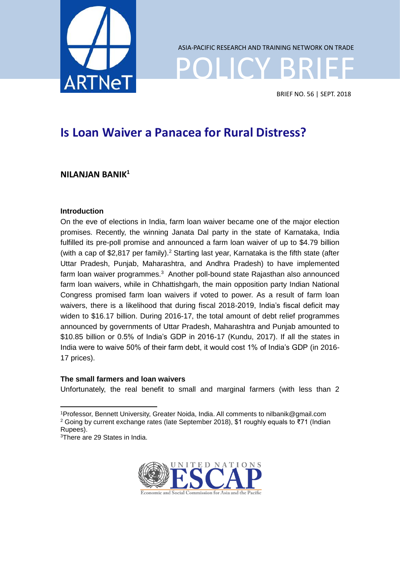

POLICY BRIEF ASIA-PACIFIC RESEARCH AND TRAINING NETWORK ON TRADE

BRIEF NO. 56 | SEPT. 2018

# **Is Loan Waiver a Panacea for Rural Distress?**

# **NILANJAN BANIK<sup>1</sup>**

## **Introduction**

On the eve of elections in India, farm loan waiver became one of the major election promises. Recently, the winning Janata Dal party in the state of Karnataka, India fulfilled its pre-poll promise and announced a farm loan waiver of up to \$4.79 billion (with a cap of \$2,817 per family).<sup>2</sup> Starting last year, Karnataka is the fifth state (after Uttar Pradesh, Punjab, Maharashtra, and Andhra Pradesh) to have implemented farm loan waiver programmes.<sup>3</sup> Another poll-bound state Rajasthan also announced farm loan waivers, while in Chhattishgarh, the main opposition party Indian National Congress promised farm loan waivers if voted to power. As a result of farm loan waivers, there is a likelihood that during fiscal 2018-2019, India's fiscal deficit may widen to \$16.17 billion. During 2016-17, the total amount of debt relief programmes announced by governments of Uttar Pradesh, Maharashtra and Punjab amounted to \$10.85 billion or 0.5% of India's GDP in 2016-17 (Kundu, 2017). If all the states in India were to waive 50% of their farm debt, it would cost 1% of India's GDP (in 2016- 17 prices).

## **The small farmers and loan waivers**

Unfortunately, the real benefit to small and marginal farmers (with less than 2

<sup>3</sup>There are 29 States in India.



<sup>-</sup><sup>1</sup>Professor, Bennett University, Greater Noida, India. All comments to nilbanik@gmail.com <sup>2</sup> Going by current exchange rates (late September 2018), \$1 roughly equals to ₹71 (Indian Rupees).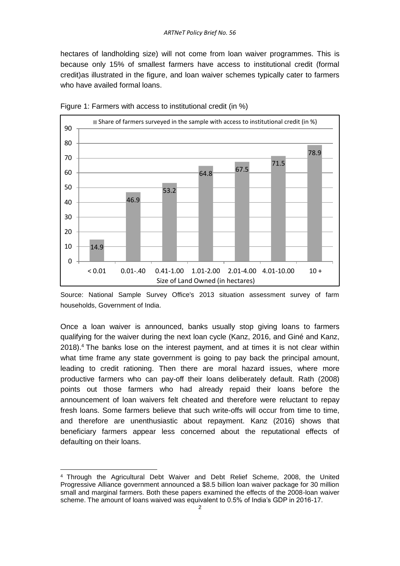hectares of landholding size) will not come from loan waiver programmes. This is because only 15% of smallest farmers have access to institutional credit (formal credit)as illustrated in the figure, and loan waiver schemes typically cater to farmers who have availed formal loans.



Figure 1: Farmers with access to institutional credit (in %)

Source: National Sample Survey Office's 2013 situation assessment survey of farm households, Government of India.

Once a loan waiver is announced, banks usually stop giving loans to farmers qualifying for the waiver during the next loan cycle (Kanz, 2016, and Giné and Kanz, 2018).<sup>4</sup> The banks lose on the interest payment, and at times it is not clear within what time frame any state government is going to pay back the principal amount, leading to credit rationing. Then there are moral hazard issues, where more productive farmers who can pay-off their loans deliberately default. Rath (2008) points out those farmers who had already repaid their loans before the announcement of loan waivers felt cheated and therefore were reluctant to repay fresh loans. Some farmers believe that such write-offs will occur from time to time, and therefore are unenthusiastic about repayment. Kanz (2016) shows that beneficiary farmers appear less concerned about the reputational effects of defaulting on their loans.

-

<sup>4</sup> Through the Agricultural Debt Waiver and Debt Relief Scheme, 2008, the United Progressive Alliance government announced a \$8.5 billion loan waiver package for 30 million small and marginal farmers. Both these papers examined the effects of the 2008-loan waiver scheme. The amount of loans waived was equivalent to 0.5% of India's GDP in 2016-17.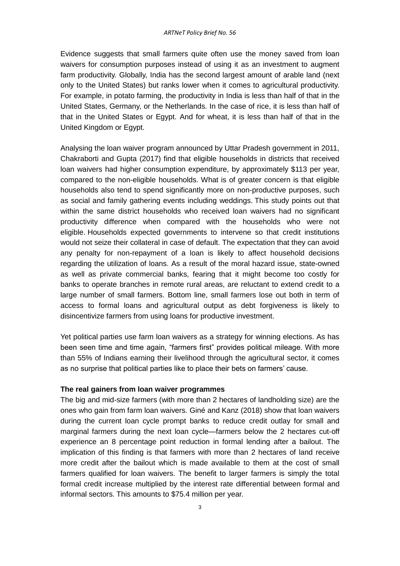Evidence suggests that small farmers quite often use the money saved from loan waivers for consumption purposes instead of using it as an investment to augment farm productivity. Globally, India has the second largest amount of arable land (next only to the United States) but ranks lower when it comes to agricultural productivity. For example, in potato farming, the productivity in India is less than half of that in the United States, Germany, or the Netherlands. In the case of rice, it is less than half of that in the United States or Egypt. And for wheat, it is less than half of that in the United Kingdom or Egypt.

Analysing the loan waiver program announced by Uttar Pradesh government in 2011, Chakraborti and Gupta (2017) find that eligible households in districts that received loan waivers had higher consumption expenditure, by approximately \$113 per year, compared to the non-eligible households. What is of greater concern is that eligible households also tend to spend significantly more on non-productive purposes, such as social and family gathering events including weddings. This study points out that within the same district households who received loan waivers had no significant productivity difference when compared with the households who were not eligible. Households expected governments to intervene so that credit institutions would not seize their collateral in case of default. The expectation that they can avoid any penalty for non-repayment of a loan is likely to affect household decisions regarding the utilization of loans. As a result of the moral hazard issue, state-owned as well as private commercial banks, fearing that it might become too costly for banks to operate branches in remote rural areas, are reluctant to extend credit to a large number of small farmers. Bottom line, small farmers lose out both in term of access to formal loans and agricultural output as debt forgiveness is likely to disincentivize farmers from using loans for productive investment.

Yet political parties use farm loan waivers as a strategy for winning elections. As has been seen time and time again, "farmers first" provides political mileage. With more than 55% of Indians earning their livelihood through the agricultural sector, it comes as no surprise that political parties like to place their bets on farmers' cause.

#### **The real gainers from loan waiver programmes**

The big and mid-size farmers (with more than 2 hectares of landholding size) are the ones who gain from farm loan waivers. Giné and Kanz (2018) show that loan waivers during the current loan cycle prompt banks to reduce credit outlay for small and marginal farmers during the next loan cycle—farmers below the 2 hectares cut-off experience an 8 percentage point reduction in formal lending after a bailout. The implication of this finding is that farmers with more than 2 hectares of land receive more credit after the bailout which is made available to them at the cost of small farmers qualified for loan waivers. The benefit to larger farmers is simply the total formal credit increase multiplied by the interest rate differential between formal and informal sectors. This amounts to \$75.4 million per year.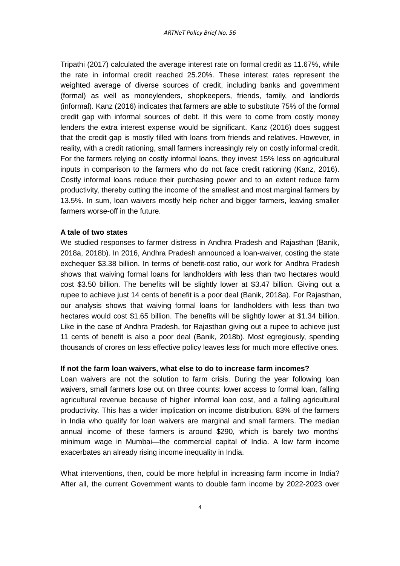Tripathi (2017) calculated the average interest rate on formal credit as 11.67%, while the rate in informal credit reached 25.20%. These interest rates represent the weighted average of diverse sources of credit, including banks and government (formal) as well as moneylenders, shopkeepers, friends, family, and landlords (informal). Kanz (2016) indicates that farmers are able to substitute 75% of the formal credit gap with informal sources of debt. If this were to come from costly money lenders the extra interest expense would be significant. Kanz (2016) does suggest that the credit gap is mostly filled with loans from friends and relatives. However, in reality, with a credit rationing, small farmers increasingly rely on costly informal credit. For the farmers relying on costly informal loans, they invest 15% less on agricultural inputs in comparison to the farmers who do not face credit rationing (Kanz, 2016). Costly informal loans reduce their purchasing power and to an extent reduce farm productivity, thereby cutting the income of the smallest and most marginal farmers by 13.5%. In sum, loan waivers mostly help richer and bigger farmers, leaving smaller farmers worse-off in the future.

#### **A tale of two states**

We studied responses to farmer distress in Andhra Pradesh and Rajasthan (Banik, 2018a, 2018b). In 2016, Andhra Pradesh announced a loan-waiver, costing the state exchequer \$3.38 billion. In terms of benefit-cost ratio, our work for Andhra Pradesh shows that waiving formal loans for landholders with less than two hectares would cost \$3.50 billion. The benefits will be slightly lower at \$3.47 billion. Giving out a rupee to achieve just 14 cents of benefit is a poor deal (Banik, 2018a). For Rajasthan, our analysis shows that waiving formal loans for landholders with less than two hectares would cost \$1.65 billion. The benefits will be slightly lower at \$1.34 billion. Like in the case of Andhra Pradesh, for Rajasthan giving out a rupee to achieve just 11 cents of benefit is also a poor deal (Banik, 2018b). Most egregiously, spending thousands of crores on less effective policy leaves less for much more effective ones.

#### **If not the farm loan waivers, what else to do to increase farm incomes?**

Loan waivers are not the solution to farm crisis. During the year following loan waivers, small farmers lose out on three counts: lower access to formal loan, falling agricultural revenue because of higher informal loan cost, and a falling agricultural productivity. This has a wider implication on income distribution. 83% of the farmers in India who qualify for loan waivers are marginal and small farmers. The median annual income of these farmers is around \$290, which is barely two months' minimum wage in Mumbai—the commercial capital of India. A low farm income exacerbates an already rising income inequality in India.

What interventions, then, could be more helpful in increasing farm income in India? After all, the current Government wants to double farm income by 2022-2023 over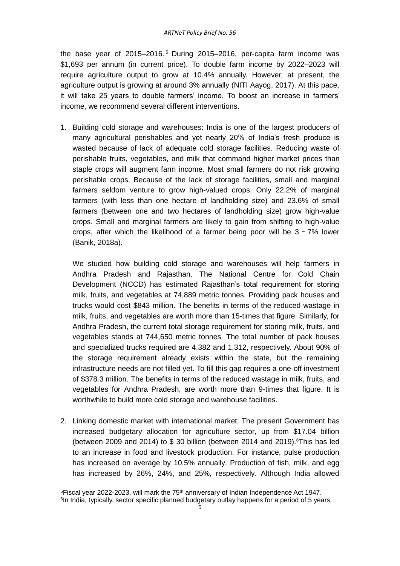the base year of 2015–2016. <sup>5</sup> During 2015–2016, per-capita farm income was \$1,693 per annum (in current price). To double farm income by 2022–2023 will require agriculture output to grow at 10.4% annually. However, at present, the agriculture output is growing at around 3% annually (NITI Aayog, 2017). At this pace, it will take 25 years to double farmers' income. To boost an increase in farmers' income, we recommend several different interventions.

1. Building cold storage and warehouses: India is one of the largest producers of many agricultural perishables and yet nearly 20% of India's fresh produce is wasted because of lack of adequate cold storage facilities. Reducing waste of perishable fruits, vegetables, and milk that command higher market prices than staple crops will augment farm income. Most small farmers do not risk growing perishable crops. Because of the lack of storage facilities, small and marginal farmers seldom venture to grow high-valued crops. Only 22.2% of marginal farmers (with less than one hectare of landholding size) and 23.6% of small farmers (between one and two hectares of landholding size) grow high-value crops. Small and marginal farmers are likely to gain from shifting to high-value crops, after which the likelihood of a farmer being poor will be  $3 - 7%$  lower (Banik, 2018a).

We studied how building cold storage and warehouses will help farmers in Andhra Pradesh and Rajasthan. The National Centre for Cold Chain Development (NCCD) has estimated Rajasthan's total requirement for storing milk, fruits, and vegetables at 74,889 metric tonnes. Providing pack houses and trucks would cost \$843 million. The benefits in terms of the reduced wastage in milk, fruits, and vegetables are worth more than 15-times that figure. Similarly, for Andhra Pradesh, the current total storage requirement for storing milk, fruits, and vegetables stands at 744,650 metric tonnes. The total number of pack houses and specialized trucks required are 4,382 and 1,312, respectively. About 90% of the storage requirement already exists within the state, but the remaining infrastructure needs are not filled yet. To fill this gap requires a one-off investment of \$378.3 million. The benefits in terms of the reduced wastage in milk, fruits, and vegetables for Andhra Pradesh, are worth more than 9-times that figure. It is worthwhile to build more cold storage and warehouse facilities.

2. Linking domestic market with international market: The present Government has increased budgetary allocation for agriculture sector, up from \$17.04 billion (between 2009 and 2014) to  $$30$  billion (between 2014 and 2019). This has led to an increase in food and livestock production. For instance, pulse production has increased on average by 10.5% annually. Production of fish, milk, and egg has increased by 26%, 24%, and 25%, respectively. Although India allowed

<sup>-</sup><sup>5</sup>Fiscal year 2022-2023, will mark the 75<sup>th</sup> anniversary of Indian Independence Act 1947.

<sup>&</sup>lt;sup>6</sup>In India, typically, sector specific planned budgetary outlay happens for a period of 5 years.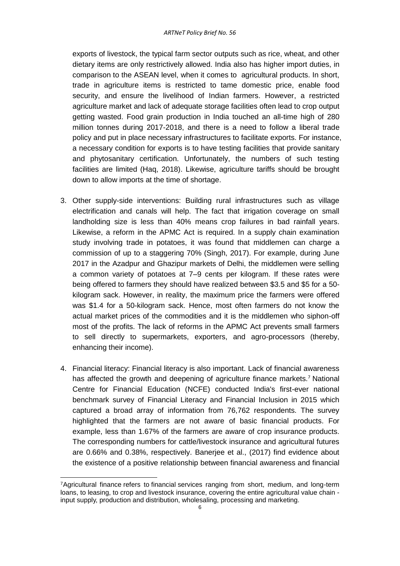exports of livestock, the typical farm sector outputs such as rice, wheat, and other dietary items are only restrictively allowed. India also has higher import duties, in comparison to the ASEAN level, when it comes to agricultural products. In short, trade in agriculture items is restricted to tame domestic price, enable food security, and ensure the livelihood of Indian farmers. However, a restricted agriculture market and lack of adequate storage facilities often lead to crop output getting wasted. Food grain production in India touched an all-time high of 280 million tonnes during 2017-2018, and there is a need to follow a liberal trade policy and put in place necessary infrastructures to facilitate exports. For instance, a necessary condition for exports is to have testing facilities that provide sanitary and phytosanitary certification. Unfortunately, the numbers of such testing facilities are limited (Haq, 2018). Likewise, agriculture tariffs should be brought down to allow imports at the time of shortage.

- 3. Other supply-side interventions: Building rural infrastructures such as village electrification and canals will help. The fact that irrigation coverage on small landholding size is less than 40% means crop failures in bad rainfall years. Likewise, a reform in the APMC Act is required. In a supply chain examination study involving trade in potatoes, it was found that middlemen can charge a commission of up to a staggering 70% (Singh, 2017). For example, during June 2017 in the Azadpur and Ghazipur markets of Delhi, the middlemen were selling a common variety of potatoes at 7–9 cents per kilogram. If these rates were being offered to farmers they should have realized between \$3.5 and \$5 for a 50 kilogram sack. However, in reality, the maximum price the farmers were offered was \$1.4 for a 50-kilogram sack. Hence, most often farmers do not know the actual market prices of the commodities and it is the middlemen who siphon-off most of the profits. The lack of reforms in the APMC Act prevents small farmers to sell directly to supermarkets, exporters, and agro-processors (thereby, enhancing their income).
- 4. Financial literacy: Financial literacy is also important. Lack of financial awareness has affected the growth and deepening of agriculture finance markets.<sup>7</sup> National Centre for Financial Education (NCFE) conducted India's first-ever national benchmark survey of Financial Literacy and Financial Inclusion in 2015 which captured a broad array of information from 76,762 respondents. The survey highlighted that the farmers are not aware of basic financial products. For example, less than 1.67% of the farmers are aware of crop insurance products. The corresponding numbers for cattle/livestock insurance and agricultural futures are 0.66% and 0.38%, respectively. Banerjee et al., (2017) find evidence about the existence of a positive relationship between financial awareness and financial

-

<sup>7</sup>Agricultural finance refers to financial services ranging from short, medium, and long-term loans, to leasing, to crop and livestock insurance, covering the entire agricultural value chain input supply, production and distribution, wholesaling, processing and marketing.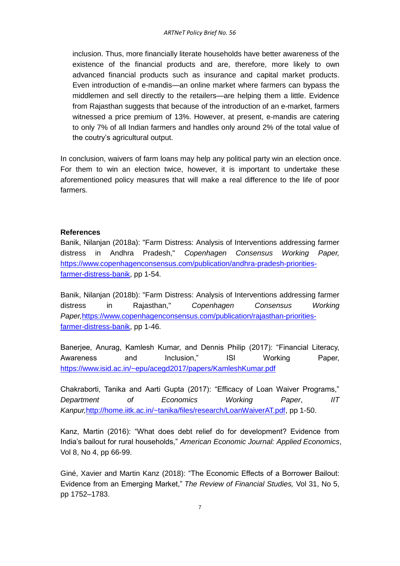inclusion. Thus, more financially literate households have better awareness of the existence of the financial products and are, therefore, more likely to own advanced financial products such as insurance and capital market products. Even introduction of e-mandis—an online market where farmers can bypass the middlemen and sell directly to the retailers—are helping them a little. Evidence from Rajasthan suggests that because of the introduction of an e-market, farmers witnessed a price premium of 13%. However, at present, e-mandis are catering to only 7% of all Indian farmers and handles only around 2% of the total value of the coutry's agricultural output.

In conclusion, waivers of farm loans may help any political party win an election once. For them to win an election twice, however, it is important to undertake these aforementioned policy measures that will make a real difference to the life of poor farmers.

#### **References**

Banik, Nilanjan (2018a): "Farm Distress: Analysis of Interventions addressing farmer distress in Andhra Pradesh," *Copenhagen Consensus Working Paper,*  [https://www.copenhagenconsensus.com/publication/andhra-pradesh-priorities](https://www.copenhagenconsensus.com/publication/andhra-pradesh-priorities-farmer-distress-banik)[farmer-distress-banik,](https://www.copenhagenconsensus.com/publication/andhra-pradesh-priorities-farmer-distress-banik) pp 1-54.

Banik, Nilanjan (2018b): "Farm Distress: Analysis of Interventions addressing farmer distress in Rajasthan," *Copenhagen Consensus Working Paper,*[https://www.copenhagenconsensus.com/publication/rajasthan-priorities](https://www.copenhagenconsensus.com/publication/rajasthan-priorities-farmer-distress-banik)[farmer-distress-banik,](https://www.copenhagenconsensus.com/publication/rajasthan-priorities-farmer-distress-banik) pp 1-46.

Banerjee, Anurag, Kamlesh Kumar, and Dennis Philip (2017): "Financial Literacy, Awareness and Inclusion," ISI Working Paper, <https://www.isid.ac.in/~epu/acegd2017/papers/KamleshKumar.pdf>

Chakraborti, Tanika and Aarti Gupta (2017): "Efficacy of Loan Waiver Programs," *Department of Economics Working Paper*, *IIT Kanpur,*[http://home.iitk.ac.in/~tanika/files/research/LoanWaiverAT.pdf,](http://home.iitk.ac.in/~tanika/files/research/LoanWaiverAT.pdf) pp 1-50.

Kanz, Martin (2016): "What does debt relief do for development? Evidence from India's bailout for rural households," *American Economic Journal: Applied Economics*, Vol 8, No 4, pp 66-99.

Giné, Xavier and Martin Kanz (2018): "The Economic Effects of a Borrower Bailout: Evidence from an Emerging Market," *The Review of Financial Studies,* Vol 31, No 5, pp 1752–1783.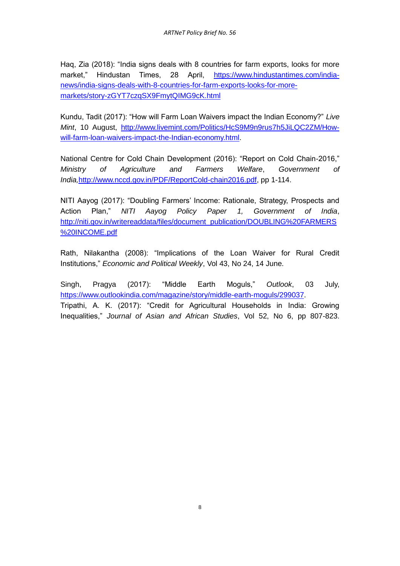Haq, Zia (2018): "India signs deals with 8 countries for farm exports, looks for more market," Hindustan Times, 28 April, [https://www.hindustantimes.com/india](https://www.hindustantimes.com/india-news/india-signs-deals-with-8-countries-for-farm-exports-looks-for-more-markets/story-zGYT7czqSX9FmytQIMG9cK.html)[news/india-signs-deals-with-8-countries-for-farm-exports-looks-for-more](https://www.hindustantimes.com/india-news/india-signs-deals-with-8-countries-for-farm-exports-looks-for-more-markets/story-zGYT7czqSX9FmytQIMG9cK.html)[markets/story-zGYT7czqSX9FmytQIMG9cK.html](https://www.hindustantimes.com/india-news/india-signs-deals-with-8-countries-for-farm-exports-looks-for-more-markets/story-zGYT7czqSX9FmytQIMG9cK.html)

Kundu, Tadit (2017): "How will Farm Loan Waivers impact the Indian Economy?" *Live Mint*, 10 August, [http://www.livemint.com/Politics/HcS9M9n9rus7h5JiLQC2ZM/How](http://www.livemint.com/Politics/HcS9M9n9rus7h5JiLQC2ZM/How-will-farm-loan-waivers-impact-the-Indian-economy.html)[will-farm-loan-waivers-impact-the-Indian-economy.html.](http://www.livemint.com/Politics/HcS9M9n9rus7h5JiLQC2ZM/How-will-farm-loan-waivers-impact-the-Indian-economy.html)

National Centre for Cold Chain Development (2016): "Report on Cold Chain-2016," *Ministry of Agriculture and Farmers Welfare*, *Government of India,*[http://www.nccd.gov.in/PDF/ReportCold-chain2016.pdf,](http://www.nccd.gov.in/PDF/ReportCold-chain2016.pdf) pp 1-114.

NITI Aayog (2017): "Doubling Farmers' Income: Rationale, Strategy, Prospects and Action Plan," *NITI Aayog Policy Paper 1, Government of India*, [http://niti.gov.in/writereaddata/files/document\\_publication/DOUBLING%20FARMERS](http://niti.gov.in/writereaddata/files/document_publication/DOUBLING%20FARMERS%20INCOME.pdf) [%20INCOME.pdf](http://niti.gov.in/writereaddata/files/document_publication/DOUBLING%20FARMERS%20INCOME.pdf)

Rath, Nilakantha (2008): "Implications of the Loan Waiver for Rural Credit Institutions," *Economic and Political Weekly*, Vol 43, No 24, 14 June.

Singh, Pragya (2017): "Middle Earth Moguls," *Outlook*, 03 July, [https://www.outlookindia.com/magazine/story/middle-earth-moguls/299037.](https://www.outlookindia.com/magazine/story/middle-earth-moguls/299037) Tripathi, A. K. (2017): "Credit for Agricultural Households in India: Growing Inequalities," *Journal of Asian and African Studies*, Vol 52, No 6, pp 807-823.